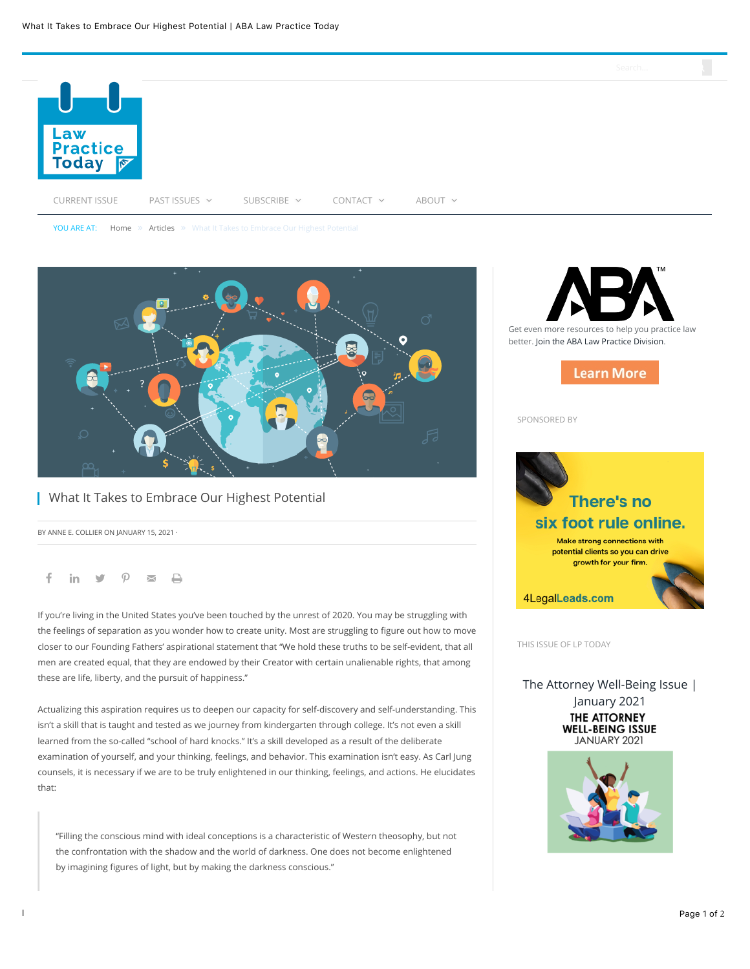

YOU ARE AT: [Home](https://www.lawpracticetoday.org/) » [Articles](https://www.lawpracticetoday.org/article/) » What It Takes to Embrace Our Highest Potential



## **What It Takes to Embrace Our Highest Potential**

BY ANNE E. COLLIER ON JANUARY 15, 2021 ·

### f in  $\mathbf{y}$   $\varphi$   $\mathbf{x}$   $\mathbf{\Theta}$

If you're living in the United States you've been touched by the unrest of 2020. You may be struggling with the feelings of separation as you wonder how to create unity. Most are struggling to figure out how to move closer to our Founding Fathers' aspirational statement that "We hold these truths to be self-evident, that all men are created equal, that they are endowed by their Creator with certain unalienable rights, that among these are life, liberty, and the pursuit of happiness."

Actualizing this aspiration requires us to deepen our capacity for self-discovery and self-understanding. This isn't a skill that is taught and tested as we journey from kindergarten through college. It's not even a skill learned from the so-called "school of hard knocks." It's a skill developed as a result of the deliberate examination of yourself, and your thinking, feelings, and behavior. This examination isn't easy. As Carl Jung counsels, it is necessary if we are to be truly enlightened in our thinking, feelings, and actions. He elucidates that:

"Filling the conscious mind with ideal conceptions is a characteristic of Western theosophy, but not the confrontation with the shadow and the world of darkness. One does not become enlightened by imagining figures of light, but by making the darkness conscious."



SPONSORED BY



THIS ISSUE OF LP TODAY

[The Attorney Well-Being Issue |](https://www.lawpracticetoday.org/?issue=the-attorney-well-being-issue-2021) January 2021 **THE ATTORNEY WELL-BEING ISSUE** JANUARY 2021